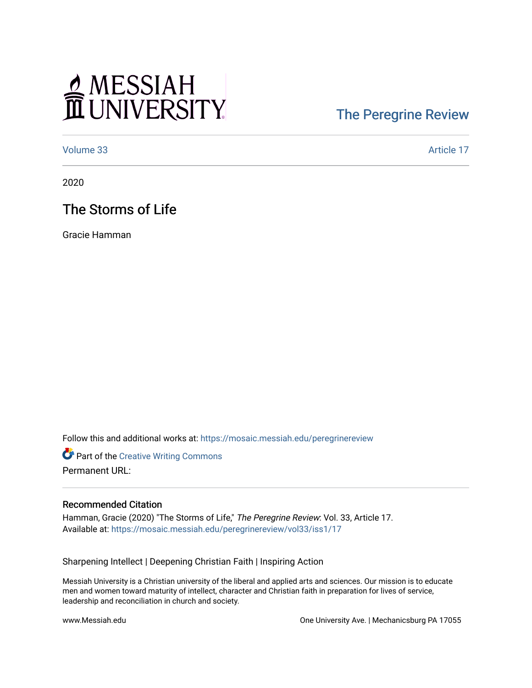# MESSIAH

## [The Peregrine Review](https://mosaic.messiah.edu/peregrinereview)

[Volume 33](https://mosaic.messiah.edu/peregrinereview/vol33) Article 17

2020

### The Storms of Life

Gracie Hamman

Follow this and additional works at: [https://mosaic.messiah.edu/peregrinereview](https://mosaic.messiah.edu/peregrinereview?utm_source=mosaic.messiah.edu%2Fperegrinereview%2Fvol33%2Fiss1%2F17&utm_medium=PDF&utm_campaign=PDFCoverPages) 

**Part of the Creative Writing Commons** Permanent URL:

#### Recommended Citation

Hamman, Gracie (2020) "The Storms of Life," The Peregrine Review: Vol. 33, Article 17. Available at: [https://mosaic.messiah.edu/peregrinereview/vol33/iss1/17](https://mosaic.messiah.edu/peregrinereview/vol33/iss1/17?utm_source=mosaic.messiah.edu%2Fperegrinereview%2Fvol33%2Fiss1%2F17&utm_medium=PDF&utm_campaign=PDFCoverPages)

Sharpening Intellect | Deepening Christian Faith | Inspiring Action

Messiah University is a Christian university of the liberal and applied arts and sciences. Our mission is to educate men and women toward maturity of intellect, character and Christian faith in preparation for lives of service, leadership and reconciliation in church and society.

www.Messiah.edu One University Ave. | Mechanicsburg PA 17055